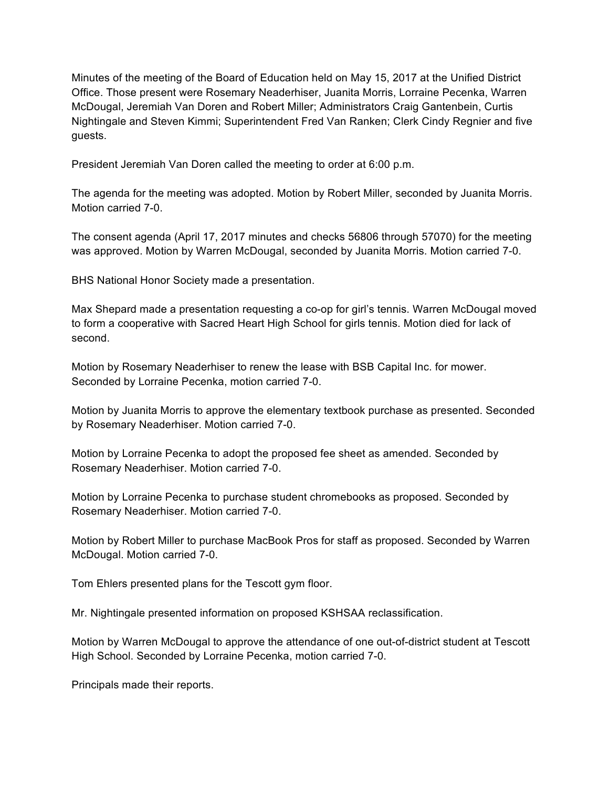Minutes of the meeting of the Board of Education held on May 15, 2017 at the Unified District Office. Those present were Rosemary Neaderhiser, Juanita Morris, Lorraine Pecenka, Warren McDougal, Jeremiah Van Doren and Robert Miller; Administrators Craig Gantenbein, Curtis Nightingale and Steven Kimmi; Superintendent Fred Van Ranken; Clerk Cindy Regnier and five guests.

President Jeremiah Van Doren called the meeting to order at 6:00 p.m.

The agenda for the meeting was adopted. Motion by Robert Miller, seconded by Juanita Morris. Motion carried 7-0.

The consent agenda (April 17, 2017 minutes and checks 56806 through 57070) for the meeting was approved. Motion by Warren McDougal, seconded by Juanita Morris. Motion carried 7-0.

BHS National Honor Society made a presentation.

Max Shepard made a presentation requesting a co-op for girl's tennis. Warren McDougal moved to form a cooperative with Sacred Heart High School for girls tennis. Motion died for lack of second.

Motion by Rosemary Neaderhiser to renew the lease with BSB Capital Inc. for mower. Seconded by Lorraine Pecenka, motion carried 7-0.

Motion by Juanita Morris to approve the elementary textbook purchase as presented. Seconded by Rosemary Neaderhiser. Motion carried 7-0.

Motion by Lorraine Pecenka to adopt the proposed fee sheet as amended. Seconded by Rosemary Neaderhiser. Motion carried 7-0.

Motion by Lorraine Pecenka to purchase student chromebooks as proposed. Seconded by Rosemary Neaderhiser. Motion carried 7-0.

Motion by Robert Miller to purchase MacBook Pros for staff as proposed. Seconded by Warren McDougal. Motion carried 7-0.

Tom Ehlers presented plans for the Tescott gym floor.

Mr. Nightingale presented information on proposed KSHSAA reclassification.

Motion by Warren McDougal to approve the attendance of one out-of-district student at Tescott High School. Seconded by Lorraine Pecenka, motion carried 7-0.

Principals made their reports.